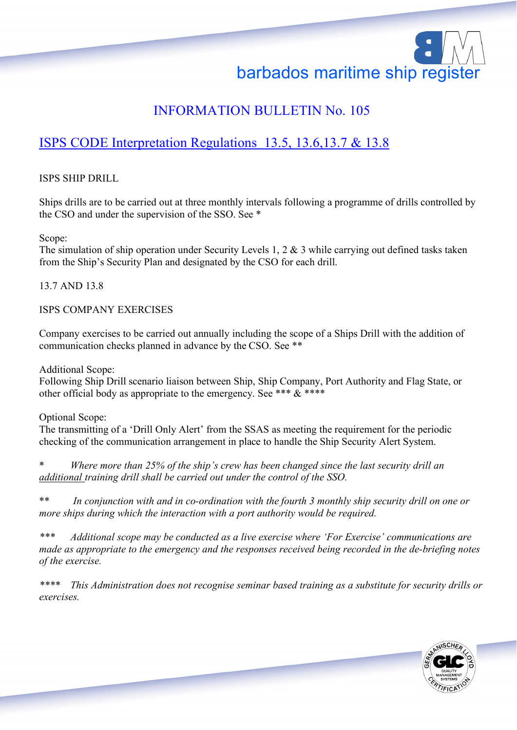# barbados maritime ship register

# INFORMATION BULLETIN No. 105

# ISPS CODE Interpretation Regulations 13.5, 13.6,13.7 & 13.8

## ISPS SHIP DRILL

Ships drills are to be carried out at three monthly intervals following a programme of drills controlled by the CSO and under the supervision of the SSO. See \*

Scope:

The simulation of ship operation under Security Levels 1, 2 & 3 while carrying out defined tasks taken from the Ship's Security Plan and designated by the CSO for each drill.

## 13.7 AND 13.8

### ISPS COMPANY EXERCISES

Company exercises to be carried out annually including the scope of a Ships Drill with the addition of communication checks planned in advance by the CSO. See \*\*

Additional Scope:

Following Ship Drill scenario liaison between Ship, Ship Company, Port Authority and Flag State, or other official body as appropriate to the emergency. See \*\*\*  $\&$  \*\*\*\*

Optional Scope:

The transmitting of a 'Drill Only Alert' from the SSAS as meeting the requirement for the periodic checking of the communication arrangement in place to handle the Ship Security Alert System.

Where more than 25% of the ship's crew has been changed since the last security drill an *additional training drill shall be carried out under the control of the SSO.*

\*\* *In conjunction with and in co-ordination with the fourth 3 monthly ship security drill on one or more ships during which the interaction with a port authority would be required.*

*\*\*\* Additional scope may be conducted as a live exercise where 'For Exercise' communications are made as appropriate to the emergency and the responses received being recorded in the de-briefing notes of the exercise.*

*\*\*\*\* This Administration does not recognise seminar based training as a substitute for security drills or exercises.*